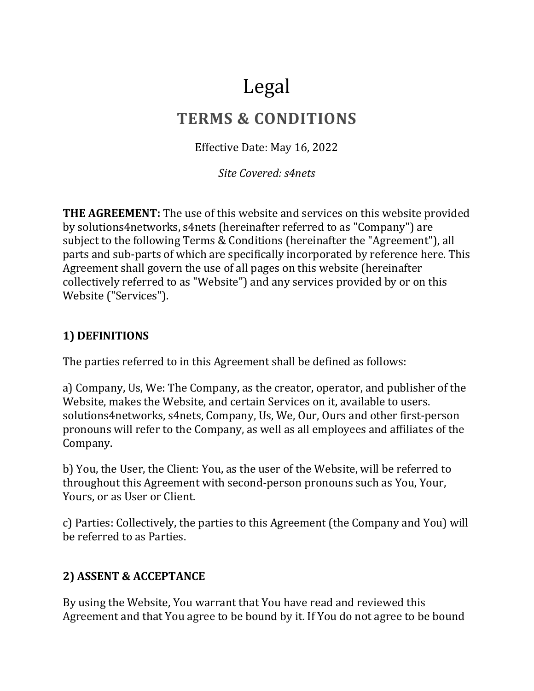# Legal

# **TERMS & CONDITIONS**

Effective Date: May 16, 2022

*Site Covered: s4nets*

**THE AGREEMENT:** The use of this website and services on this website provided by solutions4networks, s4nets (hereinafter referred to as "Company") are subject to the following Terms & Conditions (hereinafter the "Agreement"), all parts and sub-parts of which are specifically incorporated by reference here. This Agreement shall govern the use of all pages on this website (hereinafter collectively referred to as "Website") and any services provided by or on this Website ("Services").

#### **1) DEFINITIONS**

The parties referred to in this Agreement shall be defined as follows:

a) Company, Us, We: The Company, as the creator, operator, and publisher of the Website, makes the Website, and certain Services on it, available to users. solutions4networks, s4nets, Company, Us, We, Our, Ours and other first-person pronouns will refer to the Company, as well as all employees and affiliates of the Company.

b) You, the User, the Client: You, as the user of the Website, will be referred to throughout this Agreement with second-person pronouns such as You, Your, Yours, or as User or Client.

c) Parties: Collectively, the parties to this Agreement (the Company and You) will be referred to as Parties.

#### **2) ASSENT & ACCEPTANCE**

By using the Website, You warrant that You have read and reviewed this Agreement and that You agree to be bound by it. If You do not agree to be bound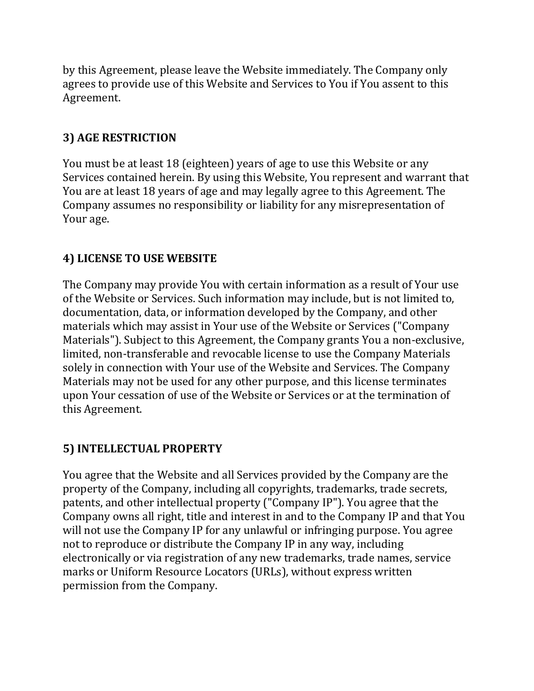by this Agreement, please leave the Website immediately. The Company only agrees to provide use of this Website and Services to You if You assent to this Agreement.

#### **3) AGE RESTRICTION**

You must be at least 18 (eighteen) years of age to use this Website or any Services contained herein. By using this Website, You represent and warrant that You are at least 18 years of age and may legally agree to this Agreement. The Company assumes no responsibility or liability for any misrepresentation of Your age.

#### **4) LICENSE TO USE WEBSITE**

The Company may provide You with certain information as a result of Your use of the Website or Services. Such information may include, but is not limited to, documentation, data, or information developed by the Company, and other materials which may assist in Your use of the Website or Services ("Company Materials"). Subject to this Agreement, the Company grants You a non-exclusive, limited, non-transferable and revocable license to use the Company Materials solely in connection with Your use of the Website and Services. The Company Materials may not be used for any other purpose, and this license terminates upon Your cessation of use of the Website or Services or at the termination of this Agreement.

#### **5) INTELLECTUAL PROPERTY**

You agree that the Website and all Services provided by the Company are the property of the Company, including all copyrights, trademarks, trade secrets, patents, and other intellectual property ("Company IP"). You agree that the Company owns all right, title and interest in and to the Company IP and that You will not use the Company IP for any unlawful or infringing purpose. You agree not to reproduce or distribute the Company IP in any way, including electronically or via registration of any new trademarks, trade names, service marks or Uniform Resource Locators (URLs), without express written permission from the Company.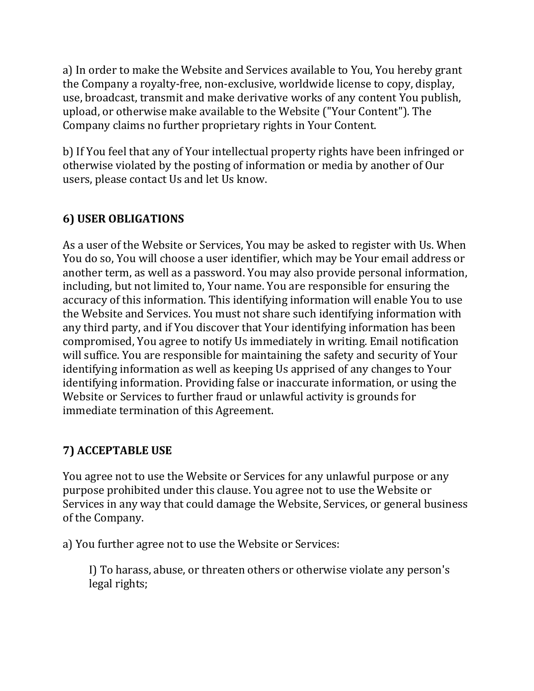a) In order to make the Website and Services available to You, You hereby grant the Company a royalty-free, non-exclusive, worldwide license to copy, display, use, broadcast, transmit and make derivative works of any content You publish, upload, or otherwise make available to the Website ("Your Content"). The Company claims no further proprietary rights in Your Content.

b) If You feel that any of Your intellectual property rights have been infringed or otherwise violated by the posting of information or media by another of Our users, please contact Us and let Us know.

# **6) USER OBLIGATIONS**

As a user of the Website or Services, You may be asked to register with Us. When You do so, You will choose a user identifier, which may be Your email address or another term, as well as a password. You may also provide personal information, including, but not limited to, Your name. You are responsible for ensuring the accuracy of this information. This identifying information will enable You to use the Website and Services. You must not share such identifying information with any third party, and if You discover that Your identifying information has been compromised, You agree to notify Us immediately in writing. Email notification will suffice. You are responsible for maintaining the safety and security of Your identifying information as well as keeping Us apprised of any changes to Your identifying information. Providing false or inaccurate information, or using the Website or Services to further fraud or unlawful activity is grounds for immediate termination of this Agreement.

#### **7) ACCEPTABLE USE**

You agree not to use the Website or Services for any unlawful purpose or any purpose prohibited under this clause. You agree not to use the Website or Services in any way that could damage the Website, Services, or general business of the Company.

a) You further agree not to use the Website or Services:

I) To harass, abuse, or threaten others or otherwise violate any person's legal rights;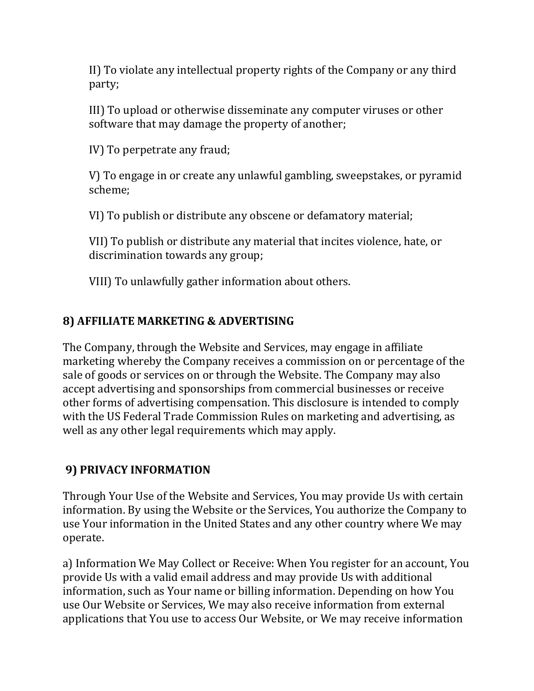II) To violate any intellectual property rights of the Company or any third party;

III) To upload or otherwise disseminate any computer viruses or other software that may damage the property of another;

IV) To perpetrate any fraud;

V) To engage in or create any unlawful gambling, sweepstakes, or pyramid scheme;

VI) To publish or distribute any obscene or defamatory material;

VII) To publish or distribute any material that incites violence, hate, or discrimination towards any group;

VIII) To unlawfully gather information about others.

#### **8) AFFILIATE MARKETING & ADVERTISING**

The Company, through the Website and Services, may engage in affiliate marketing whereby the Company receives a commission on or percentage of the sale of goods or services on or through the Website. The Company may also accept advertising and sponsorships from commercial businesses or receive other forms of advertising compensation. This disclosure is intended to comply with the US Federal Trade Commission Rules on marketing and advertising, as well as any other legal requirements which may apply.

#### **9) PRIVACY INFORMATION**

Through Your Use of the Website and Services, You may provide Us with certain information. By using the Website or the Services, You authorize the Company to use Your information in the United States and any other country where We may operate.

a) Information We May Collect or Receive: When You register for an account, You provide Us with a valid email address and may provide Us with additional information, such as Your name or billing information. Depending on how You use Our Website or Services, We may also receive information from external applications that You use to access Our Website, or We may receive information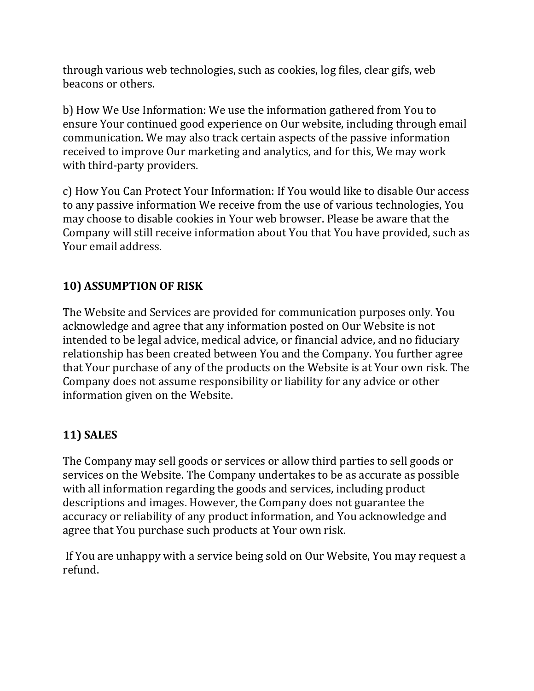through various web technologies, such as cookies, log files, clear gifs, web beacons or others.

b) How We Use Information: We use the information gathered from You to ensure Your continued good experience on Our website, including through email communication. We may also track certain aspects of the passive information received to improve Our marketing and analytics, and for this, We may work with third-party providers.

c) How You Can Protect Your Information: If You would like to disable Our access to any passive information We receive from the use of various technologies, You may choose to disable cookies in Your web browser. Please be aware that the Company will still receive information about You that You have provided, such as Your email address.

#### **10) ASSUMPTION OF RISK**

The Website and Services are provided for communication purposes only. You acknowledge and agree that any information posted on Our Website is not intended to be legal advice, medical advice, or financial advice, and no fiduciary relationship has been created between You and the Company. You further agree that Your purchase of any of the products on the Website is at Your own risk. The Company does not assume responsibility or liability for any advice or other information given on the Website.

# **11) SALES**

The Company may sell goods or services or allow third parties to sell goods or services on the Website. The Company undertakes to be as accurate as possible with all information regarding the goods and services, including product descriptions and images. However, the Company does not guarantee the accuracy or reliability of any product information, and You acknowledge and agree that You purchase such products at Your own risk.

If You are unhappy with a service being sold on Our Website, You may request a refund.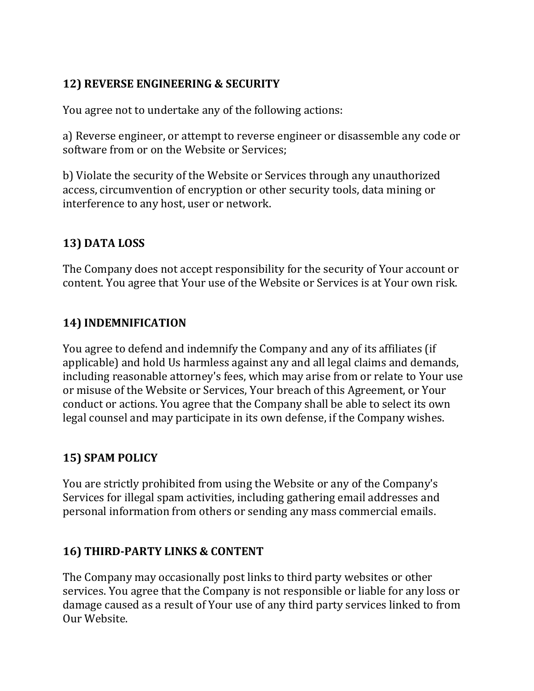#### **12) REVERSE ENGINEERING & SECURITY**

You agree not to undertake any of the following actions:

a) Reverse engineer, or attempt to reverse engineer or disassemble any code or software from or on the Website or Services;

b) Violate the security of the Website or Services through any unauthorized access, circumvention of encryption or other security tools, data mining or interference to any host, user or network.

## **13) DATA LOSS**

The Company does not accept responsibility for the security of Your account or content. You agree that Your use of the Website or Services is at Your own risk.

# **14) INDEMNIFICATION**

You agree to defend and indemnify the Company and any of its affiliates (if applicable) and hold Us harmless against any and all legal claims and demands, including reasonable attorney's fees, which may arise from or relate to Your use or misuse of the Website or Services, Your breach of this Agreement, or Your conduct or actions. You agree that the Company shall be able to select its own legal counsel and may participate in its own defense, if the Company wishes.

# **15) SPAM POLICY**

You are strictly prohibited from using the Website or any of the Company's Services for illegal spam activities, including gathering email addresses and personal information from others or sending any mass commercial emails.

# **16) THIRD-PARTY LINKS & CONTENT**

The Company may occasionally post links to third party websites or other services. You agree that the Company is not responsible or liable for any loss or damage caused as a result of Your use of any third party services linked to from Our Website.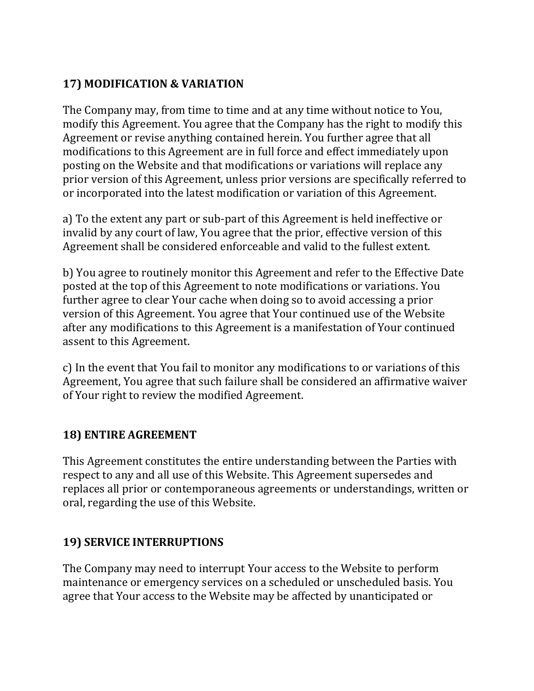#### **17) MODIFICATION & VARIATION**

The Company may, from time to time and at any time without notice to You, modify this Agreement. You agree that the Company has the right to modify this Agreement or revise anything contained herein. You further agree that all modifications to this Agreement are in full force and effect immediately upon posting on the Website and that modifications or variations will replace any prior version of this Agreement, unless prior versions are specifically referred to or incorporated into the latest modification or variation of this Agreement.

a) To the extent any part or sub-part of this Agreement is held ineffective or invalid by any court of law, You agree that the prior, effective version of this Agreement shall be considered enforceable and valid to the fullest extent.

b) You agree to routinely monitor this Agreement and refer to the Effective Date posted at the top of this Agreement to note modifications or variations. You further agree to clear Your cache when doing so to avoid accessing a prior version of this Agreement. You agree that Your continued use of the Website after any modifications to this Agreement is a manifestation of Your continued assent to this Agreement.

c) In the event that You fail to monitor any modifications to or variations of this Agreement, You agree that such failure shall be considered an affirmative waiver of Your right to review the modified Agreement.

#### **18) ENTIRE AGREEMENT**

This Agreement constitutes the entire understanding between the Parties with respect to any and all use of this Website. This Agreement supersedes and replaces all prior or contemporaneous agreements or understandings, written or oral, regarding the use of this Website.

#### **19) SERVICE INTERRUPTIONS**

The Company may need to interrupt Your access to the Website to perform maintenance or emergency services on a scheduled or unscheduled basis. You agree that Your access to the Website may be affected by unanticipated or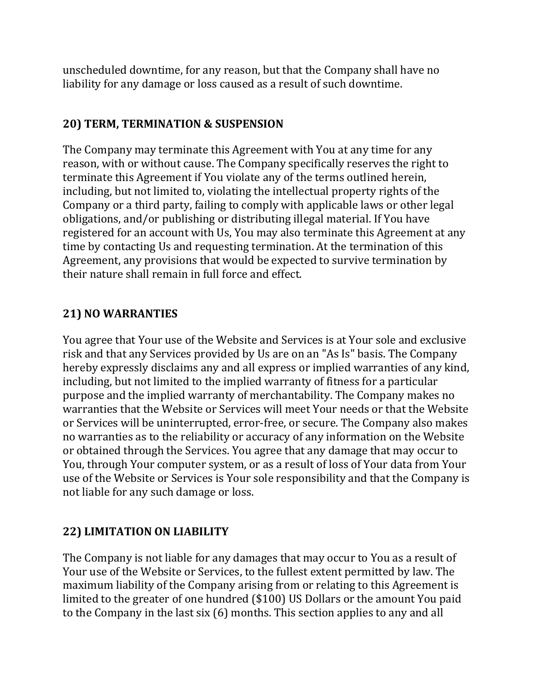unscheduled downtime, for any reason, but that the Company shall have no liability for any damage or loss caused as a result of such downtime.

#### **20) TERM, TERMINATION & SUSPENSION**

The Company may terminate this Agreement with You at any time for any reason, with or without cause. The Company specifically reserves the right to terminate this Agreement if You violate any of the terms outlined herein, including, but not limited to, violating the intellectual property rights of the Company or a third party, failing to comply with applicable laws or other legal obligations, and/or publishing or distributing illegal material. If You have registered for an account with Us, You may also terminate this Agreement at any time by contacting Us and requesting termination. At the termination of this Agreement, any provisions that would be expected to survive termination by their nature shall remain in full force and effect.

#### **21) NO WARRANTIES**

You agree that Your use of the Website and Services is at Your sole and exclusive risk and that any Services provided by Us are on an "As Is" basis. The Company hereby expressly disclaims any and all express or implied warranties of any kind, including, but not limited to the implied warranty of fitness for a particular purpose and the implied warranty of merchantability. The Company makes no warranties that the Website or Services will meet Your needs or that the Website or Services will be uninterrupted, error-free, or secure. The Company also makes no warranties as to the reliability or accuracy of any information on the Website or obtained through the Services. You agree that any damage that may occur to You, through Your computer system, or as a result of loss of Your data from Your use of the Website or Services is Your sole responsibility and that the Company is not liable for any such damage or loss.

#### **22) LIMITATION ON LIABILITY**

The Company is not liable for any damages that may occur to You as a result of Your use of the Website or Services, to the fullest extent permitted by law. The maximum liability of the Company arising from or relating to this Agreement is limited to the greater of one hundred (\$100) US Dollars or the amount You paid to the Company in the last six (6) months. This section applies to any and all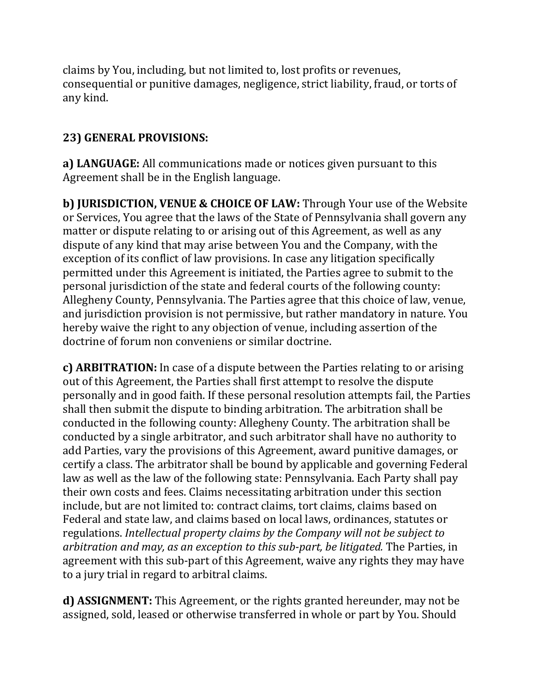claims by You, including, but not limited to, lost profits or revenues, consequential or punitive damages, negligence, strict liability, fraud, or torts of any kind.

## **23) GENERAL PROVISIONS:**

**a) LANGUAGE:** All communications made or notices given pursuant to this Agreement shall be in the English language.

**b) JURISDICTION, VENUE & CHOICE OF LAW:** Through Your use of the Website or Services, You agree that the laws of the State of Pennsylvania shall govern any matter or dispute relating to or arising out of this Agreement, as well as any dispute of any kind that may arise between You and the Company, with the exception of its conflict of law provisions. In case any litigation specifically permitted under this Agreement is initiated, the Parties agree to submit to the personal jurisdiction of the state and federal courts of the following county: Allegheny County, Pennsylvania. The Parties agree that this choice of law, venue, and jurisdiction provision is not permissive, but rather mandatory in nature. You hereby waive the right to any objection of venue, including assertion of the doctrine of forum non conveniens or similar doctrine.

**c) ARBITRATION:** In case of a dispute between the Parties relating to or arising out of this Agreement, the Parties shall first attempt to resolve the dispute personally and in good faith. If these personal resolution attempts fail, the Parties shall then submit the dispute to binding arbitration. The arbitration shall be conducted in the following county: Allegheny County. The arbitration shall be conducted by a single arbitrator, and such arbitrator shall have no authority to add Parties, vary the provisions of this Agreement, award punitive damages, or certify a class. The arbitrator shall be bound by applicable and governing Federal law as well as the law of the following state: Pennsylvania. Each Party shall pay their own costs and fees. Claims necessitating arbitration under this section include, but are not limited to: contract claims, tort claims, claims based on Federal and state law, and claims based on local laws, ordinances, statutes or regulations. *Intellectual property claims by the Company will not be subject to arbitration and may, as an exception to this sub-part, be litigated.* The Parties, in agreement with this sub-part of this Agreement, waive any rights they may have to a jury trial in regard to arbitral claims.

**d) ASSIGNMENT:** This Agreement, or the rights granted hereunder, may not be assigned, sold, leased or otherwise transferred in whole or part by You. Should